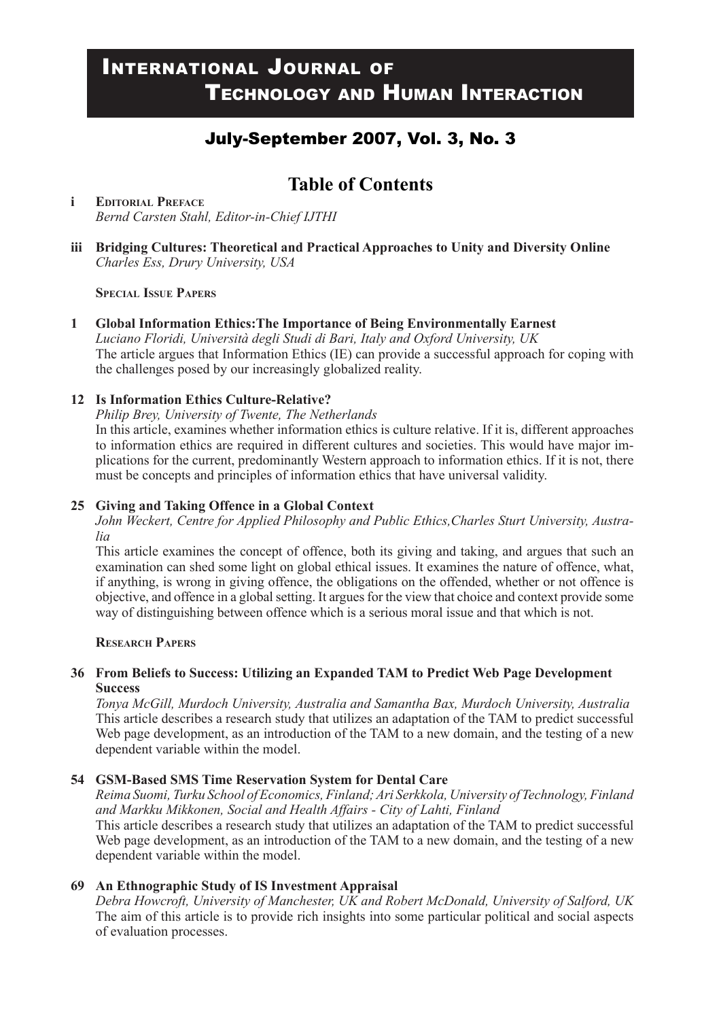# International Journal of Technology and Human Interaction

# July-September 2007, Vol. 3, No. 3

# **Table of Contents**

**i Editorial Preface** *Bernd Carsten Stahl, Editor-in-Chief IJTHI*

**iii Bridging Cultures: Theoretical and Practical Approaches to Unity and Diversity Online** *Charles Ess, Drury University, USA*

#### **Special Issue Papers**

#### **1 Global Information Ethics:The Importance of Being Environmentally Earnest** *Luciano Floridi, Università degli Studi di Bari, Italy and Oxford University, UK* The article argues that Information Ethics (IE) can provide a successful approach for coping with the challenges posed by our increasingly globalized reality.

**12 Is Information Ethics Culture-Relative?**

*Philip Brey, University of Twente, The Netherlands*

In this article, examines whether information ethics is culture relative. If it is, different approaches to information ethics are required in different cultures and societies. This would have major implications for the current, predominantly Western approach to information ethics. If it is not, there must be concepts and principles of information ethics that have universal validity.

#### **25 Giving and Taking Offence in a Global Context**

*John Weckert, Centre for Applied Philosophy and Public Ethics,Charles Sturt University, Australia*

This article examines the concept of offence, both its giving and taking, and argues that such an examination can shed some light on global ethical issues. It examines the nature of offence, what, if anything, is wrong in giving offence, the obligations on the offended, whether or not offence is objective, and offence in a global setting. It argues for the view that choice and context provide some way of distinguishing between offence which is a serious moral issue and that which is not.

#### **Research Papers**

#### **36 From Beliefs to Success: Utilizing an Expanded TAM to Predict Web Page Development Success**

*Tonya McGill, Murdoch University, Australia and Samantha Bax, Murdoch University, Australia* This article describes a research study that utilizes an adaptation of the TAM to predict successful Web page development, as an introduction of the TAM to a new domain, and the testing of a new dependent variable within the model.

#### **54 GSM-Based SMS Time Reservation System for Dental Care**

*Reima Suomi, Turku School of Economics, Finland; Ari Serkkola, University of Technology, Finland and Markku Mikkonen, Social and Health Affairs - City of Lahti, Finland* This article describes a research study that utilizes an adaptation of the TAM to predict successful Web page development, as an introduction of the TAM to a new domain, and the testing of a new dependent variable within the model.

#### **69 An Ethnographic Study of IS Investment Appraisal**

*Debra Howcroft, University of Manchester, UK and Robert McDonald, University of Salford, UK* The aim of this article is to provide rich insights into some particular political and social aspects of evaluation processes.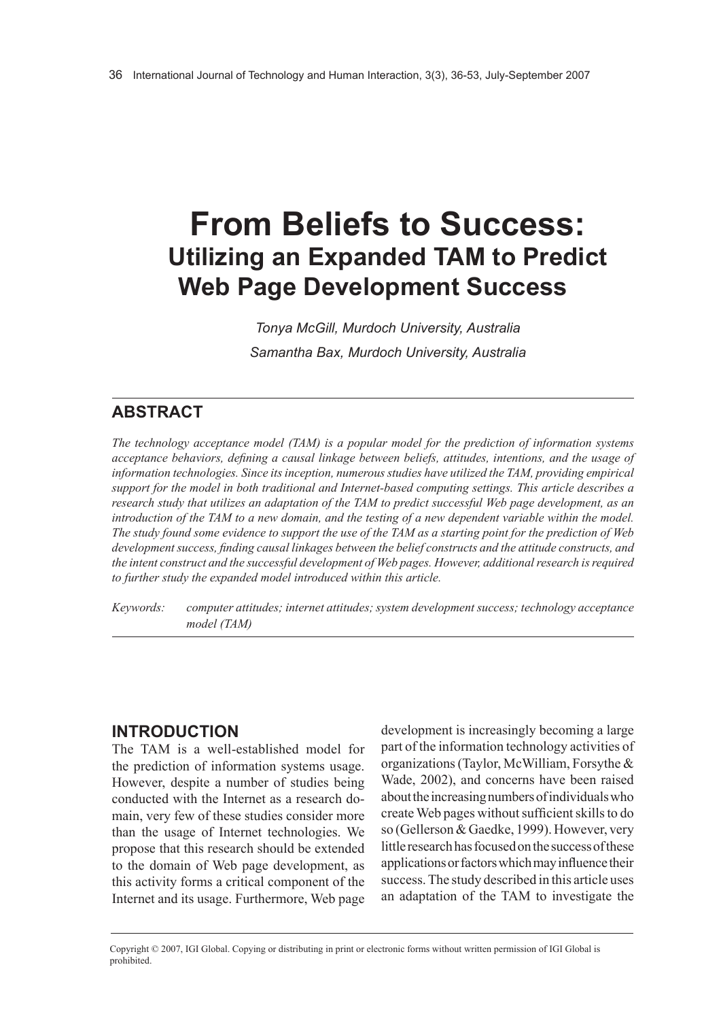# **From beliefs to success: Utilizing an Expanded TAM to Predict Web Page Development Success**

*Tonya McGill, Murdoch University, Australia Samantha Bax, Murdoch University, Australia*

# **AbstrAct**

*The technology acceptance model (TAM) is a popular model for the prediction of information systems acceptance behaviors, defining a causal linkage between beliefs, attitudes, intentions, and the usage of information technologies. Since its inception, numerous studies have utilized the TAM, providing empirical support for the model in both traditional and Internet-based computing settings. This article describes a research study that utilizes an adaptation of the TAM to predict successful Web page development, as an introduction of the TAM to a new domain, and the testing of a new dependent variable within the model. The study found some evidence to support the use of the TAM as a starting point for the prediction of Web development success, finding causal linkages between the belief constructs and the attitude constructs, and the intent construct and the successful development of Web pages. However, additional research is required to further study the expanded model introduced within this article.*

*Keywords: computer attitudes; internet attitudes; system development success; technology acceptance model (TAM)* 

## **IntroductIon**

The TAM is a well-established model for the prediction of information systems usage. However, despite a number of studies being conducted with the Internet as a research domain, very few of these studies consider more than the usage of Internet technologies. We propose that this research should be extended to the domain of Web page development, as this activity forms a critical component of the Internet and its usage. Furthermore, Web page development is increasingly becoming a large part of the information technology activities of organizations (Taylor, McWilliam, Forsythe & Wade, 2002), and concerns have been raised about the increasing numbers of individuals who create Web pages without sufficient skills to do so (Gellerson & Gaedke, 1999). However, very little research has focused on the success of these applications or factors which may influence their success. The study described in this article uses an adaptation of the TAM to investigate the

Copyright © 2007, IGI Global. Copying or distributing in print or electronic forms without written permission of IGI Global is prohibited.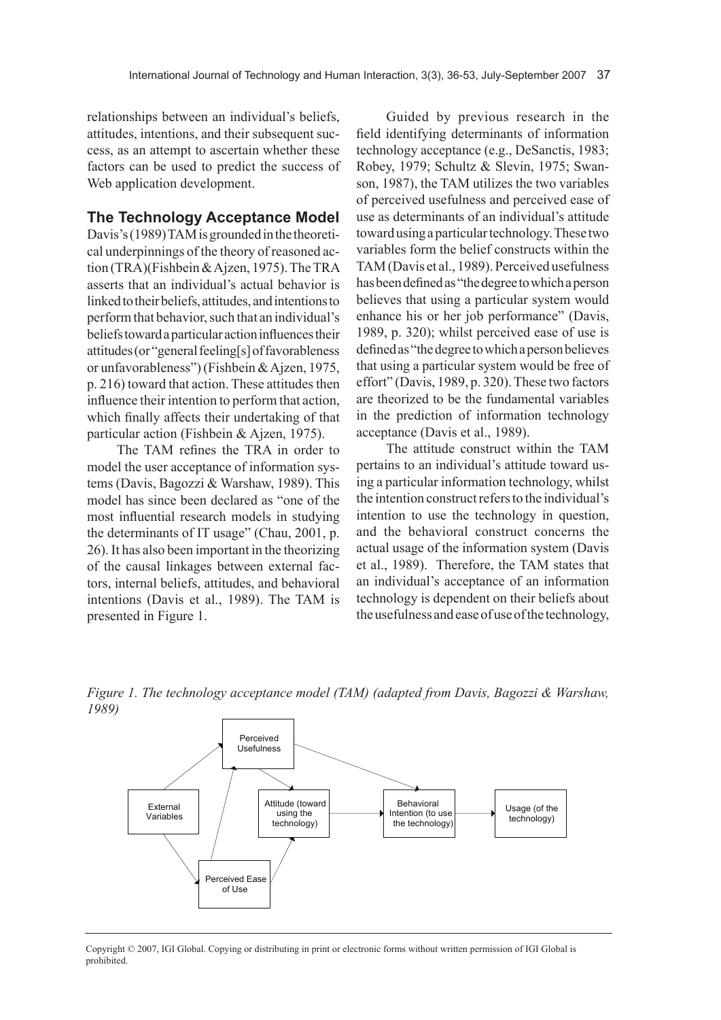relationships between an individual's beliefs, attitudes, intentions, and their subsequent success, as an attempt to ascertain whether these factors can be used to predict the success of Web application development.

#### **the technology Acceptance model**

Davis's (1989) TAM is grounded in the theoretical underpinnings of the theory of reasoned action (TRA)(Fishbein & Ajzen, 1975). The TRA asserts that an individual's actual behavior is linked to their beliefs, attitudes, and intentions to perform that behavior, such that an individual's beliefs toward a particular action influences their attitudes (or "general feeling[s] of favorableness or unfavorableness") (Fishbein & Ajzen, 1975, p. 216) toward that action. These attitudes then influence their intention to perform that action, which finally affects their undertaking of that particular action (Fishbein & Ajzen, 1975).

The TAM refines the TRA in order to model the user acceptance of information systems (Davis, Bagozzi & Warshaw, 1989). This model has since been declared as "one of the most influential research models in studying the determinants of IT usage" (Chau, 2001, p. 26). It has also been important in the theorizing of the causal linkages between external factors, internal beliefs, attitudes, and behavioral intentions (Davis et al., 1989). The TAM is presented in Figure 1.

Guided by previous research in the field identifying determinants of information technology acceptance (e.g., DeSanctis, 1983; Robey, 1979; Schultz & Slevin, 1975; Swanson, 1987), the TAM utilizes the two variables of perceived usefulness and perceived ease of use as determinants of an individual's attitude toward using a particular technology. These two variables form the belief constructs within the TAM (Davis et al., 1989). Perceived usefulness has been defined as "the degree to which a person believes that using a particular system would enhance his or her job performance" (Davis, 1989, p. 320); whilst perceived ease of use is defined as "the degree to which a person believes that using a particular system would be free of effort" (Davis, 1989, p. 320). These two factors are theorized to be the fundamental variables in the prediction of information technology acceptance (Davis et al., 1989).

The attitude construct within the TAM pertains to an individual's attitude toward using a particular information technology, whilst the intention construct refers to the individual's intention to use the technology in question, and the behavioral construct concerns the actual usage of the information system (Davis et al., 1989). Therefore, the TAM states that an individual's acceptance of an information technology is dependent on their beliefs about the usefulness and ease of use of the technology,





Copyright © 2007, IGI Global. Copying or distributing in print or electronic forms without written permission of IGI Global is prohibited.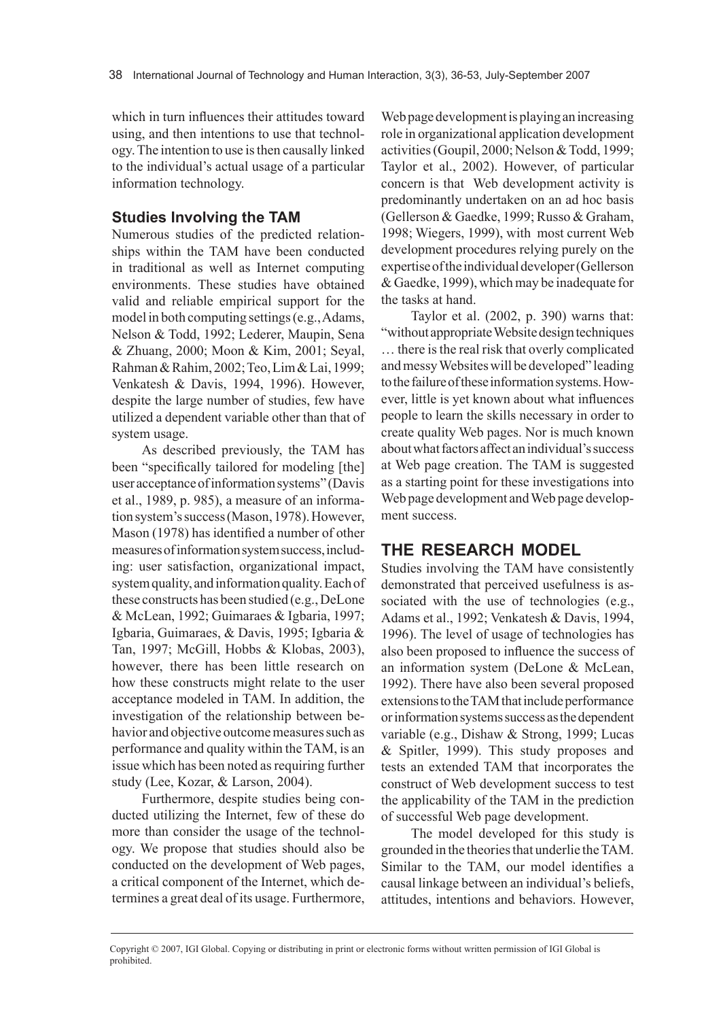which in turn influences their attitudes toward using, and then intentions to use that technology. The intention to use is then causally linked to the individual's actual usage of a particular information technology.

#### **Studies Involving the TAM**

Numerous studies of the predicted relationships within the TAM have been conducted in traditional as well as Internet computing environments. These studies have obtained valid and reliable empirical support for the model in both computing settings (e.g., Adams, Nelson & Todd, 1992; Lederer, Maupin, Sena & Zhuang, 2000; Moon & Kim, 2001; Seyal, Rahman & Rahim, 2002; Teo, Lim & Lai, 1999; Venkatesh & Davis, 1994, 1996). However, despite the large number of studies, few have utilized a dependent variable other than that of system usage.

As described previously, the TAM has been "specifically tailored for modeling [the] user acceptance of information systems" (Davis et al., 1989, p. 985), a measure of an information system's success (Mason, 1978). However, Mason (1978) has identified a number of other measures of information system success, including: user satisfaction, organizational impact, system quality, and information quality. Each of these constructs has been studied (e.g., DeLone & McLean, 1992; Guimaraes & Igbaria, 1997; Igbaria, Guimaraes, & Davis, 1995; Igbaria & Tan, 1997; McGill, Hobbs & Klobas, 2003), however, there has been little research on how these constructs might relate to the user acceptance modeled in TAM. In addition, the investigation of the relationship between behavior and objective outcome measures such as performance and quality within the TAM, is an issue which has been noted as requiring further study (Lee, Kozar, & Larson, 2004).

Furthermore, despite studies being conducted utilizing the Internet, few of these do more than consider the usage of the technology. We propose that studies should also be conducted on the development of Web pages, a critical component of the Internet, which determines a great deal of its usage. Furthermore, Web page development is playing an increasing role in organizational application development activities (Goupil, 2000; Nelson & Todd, 1999; Taylor et al., 2002). However, of particular concern is that Web development activity is predominantly undertaken on an ad hoc basis (Gellerson & Gaedke, 1999; Russo & Graham, 1998; Wiegers, 1999), with most current Web development procedures relying purely on the expertise of the individual developer (Gellerson & Gaedke, 1999), which may be inadequate for the tasks at hand.

Taylor et al. (2002, p. 390) warns that: "without appropriate Website design techniques … there is the real risk that overly complicated and messy Websites will be developed" leading to the failure of these information systems. However, little is yet known about what influences people to learn the skills necessary in order to create quality Web pages. Nor is much known about what factors affect an individual's success at Web page creation. The TAM is suggested as a starting point for these investigations into Web page development and Web page development success.

## **thE rEsEArch modEl**

Studies involving the TAM have consistently demonstrated that perceived usefulness is associated with the use of technologies (e.g., Adams et al., 1992; Venkatesh & Davis, 1994, 1996). The level of usage of technologies has also been proposed to influence the success of an information system (DeLone & McLean, 1992). There have also been several proposed extensions to the TAM that include performance or information systems success as the dependent variable (e.g., Dishaw & Strong, 1999; Lucas & Spitler, 1999). This study proposes and tests an extended TAM that incorporates the construct of Web development success to test the applicability of the TAM in the prediction of successful Web page development.

The model developed for this study is grounded in the theories that underlie the TAM. Similar to the TAM, our model identifies a causal linkage between an individual's beliefs, attitudes, intentions and behaviors. However,

Copyright © 2007, IGI Global. Copying or distributing in print or electronic forms without written permission of IGI Global is prohibited.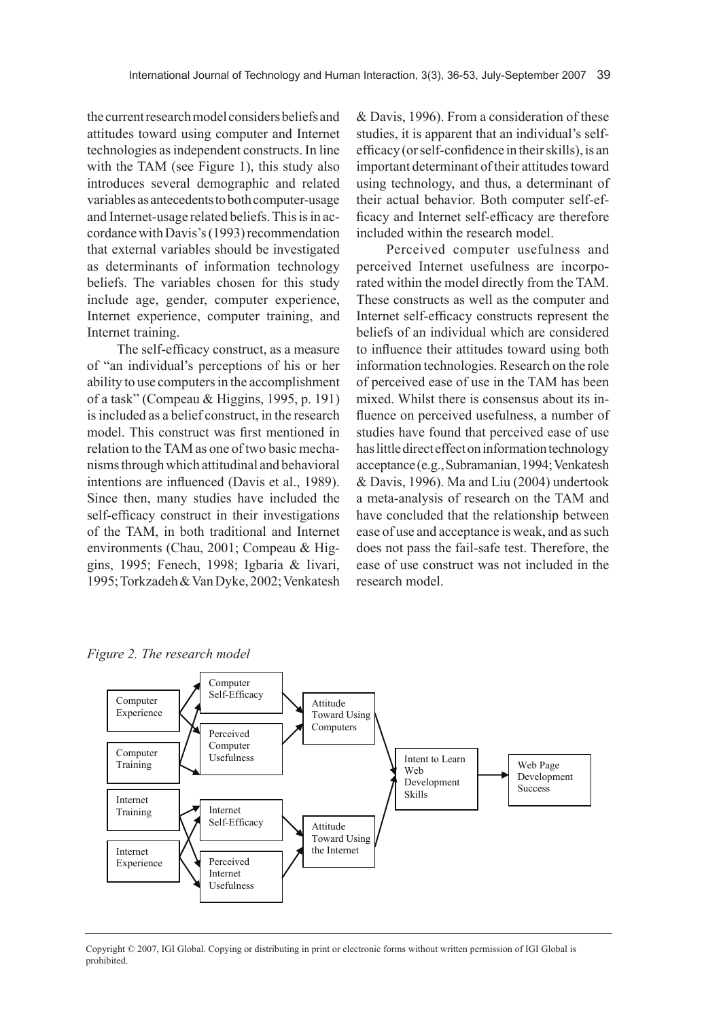the current research model considers beliefs and attitudes toward using computer and Internet technologies as independent constructs. In line with the TAM (see Figure 1), this study also introduces several demographic and related variables as antecedents to both computer-usage and Internet-usage related beliefs. This is in accordance with Davis's (1993) recommendation that external variables should be investigated as determinants of information technology beliefs. The variables chosen for this study include age, gender, computer experience, Internet experience, computer training, and Internet training.

The self-efficacy construct, as a measure of "an individual's perceptions of his or her ability to use computers in the accomplishment of a task" (Compeau & Higgins, 1995, p. 191) is included as a belief construct, in the research model. This construct was first mentioned in relation to the TAM as one of two basic mechanisms through which attitudinal and behavioral intentions are influenced (Davis et al., 1989). Since then, many studies have included the self-efficacy construct in their investigations of the TAM, in both traditional and Internet environments (Chau, 2001; Compeau & Higgins, 1995; Fenech, 1998; Igbaria & Iivari, 1995; Torkzadeh & Van Dyke, 2002; Venkatesh & Davis, 1996). From a consideration of these studies, it is apparent that an individual's selfefficacy (or self-confidence in their skills), is an important determinant of their attitudes toward using technology, and thus, a determinant of their actual behavior. Both computer self-efficacy and Internet self-efficacy are therefore included within the research model.

Perceived computer usefulness and perceived Internet usefulness are incorporated within the model directly from the TAM. These constructs as well as the computer and Internet self-efficacy constructs represent the beliefs of an individual which are considered to influence their attitudes toward using both information technologies. Research on the role of perceived ease of use in the TAM has been mixed. Whilst there is consensus about its influence on perceived usefulness, a number of studies have found that perceived ease of use has little direct effect on information technology acceptance (e.g., Subramanian, 1994; Venkatesh & Davis, 1996). Ma and Liu (2004) undertook a meta-analysis of research on the TAM and have concluded that the relationship between ease of use and acceptance is weak, and as such does not pass the fail-safe test. Therefore, the ease of use construct was not included in the research model.

Computer Training Internet Training Internet Experience Computer Experience Computer Self-Efficacy Perceived **Computer** Usefulness Internet Self-Efficacy Perceived Internet Usefulness Attitude Toward Using Computers Attitude Toward Using the Internet Intent to Learn Web Development Skills Web Page Development Success

*Figure 2. The research model* 

Copyright © 2007, IGI Global. Copying or distributing in print or electronic forms without written permission of IGI Global is prohibited.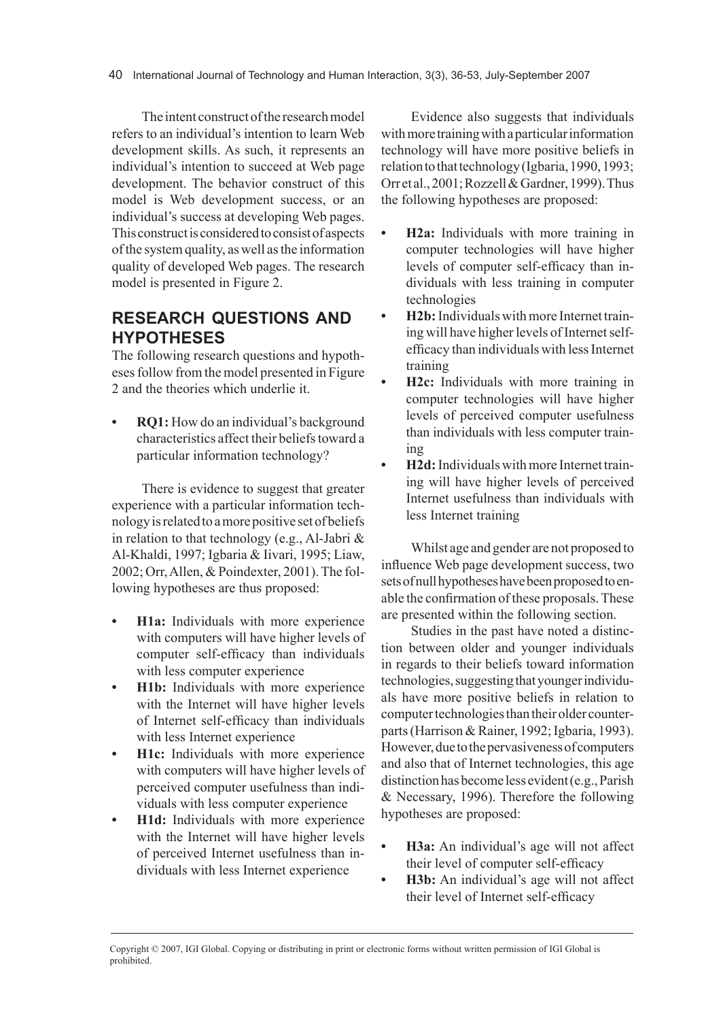The intent construct of the research model refers to an individual's intention to learn Web development skills. As such, it represents an individual's intention to succeed at Web page development. The behavior construct of this model is Web development success, or an individual's success at developing Web pages. This construct is considered to consist of aspects of the system quality, as well as the information quality of developed Web pages. The research model is presented in Figure 2.

# **rEsEArch QuEstIons And hyPothEsEs**

The following research questions and hypotheses follow from the model presented in Figure 2 and the theories which underlie it.

**RQ1:** How do an individual's background characteristics affect their beliefs toward a particular information technology?

There is evidence to suggest that greater experience with a particular information technology is related to a more positive set of beliefs in relation to that technology (e.g., Al-Jabri & Al-Khaldi, 1997; Igbaria & Iivari, 1995; Liaw, 2002; Orr, Allen, & Poindexter, 2001). The following hypotheses are thus proposed:

- **H1a:** Individuals with more experience with computers will have higher levels of computer self-efficacy than individuals with less computer experience
- **H1b:** Individuals with more experience with the Internet will have higher levels of Internet self-efficacy than individuals with less Internet experience
- **H1c:** Individuals with more experience with computers will have higher levels of perceived computer usefulness than individuals with less computer experience
- **H1d:** Individuals with more experience with the Internet will have higher levels of perceived Internet usefulness than individuals with less Internet experience

Evidence also suggests that individuals with more training with a particular information technology will have more positive beliefs in relation to that technology (Igbaria, 1990, 1993; Orr et al., 2001; Rozzell & Gardner, 1999). Thus the following hypotheses are proposed:

- **H2a:** Individuals with more training in computer technologies will have higher levels of computer self-efficacy than individuals with less training in computer technologies
- **H2b:** Individuals with more Internet training will have higher levels of Internet selfefficacy than individuals with less Internet training
- **H2c:** Individuals with more training in computer technologies will have higher levels of perceived computer usefulness than individuals with less computer training
- **• H2d:** Individuals with more Internet training will have higher levels of perceived Internet usefulness than individuals with less Internet training

Whilst age and gender are not proposed to influence Web page development success, two sets of null hypotheses have been proposed to enable the confirmation of these proposals. These are presented within the following section.

Studies in the past have noted a distinction between older and younger individuals in regards to their beliefs toward information technologies, suggesting that younger individuals have more positive beliefs in relation to computer technologies than their older counterparts (Harrison & Rainer, 1992; Igbaria, 1993). However, due to the pervasiveness of computers and also that of Internet technologies, this age distinction has become less evident (e.g., Parish & Necessary, 1996). Therefore the following hypotheses are proposed:

- **H3a:** An individual's age will not affect their level of computer self-efficacy
- **H3b:** An individual's age will not affect their level of Internet self-efficacy

Copyright © 2007, IGI Global. Copying or distributing in print or electronic forms without written permission of IGI Global is prohibited.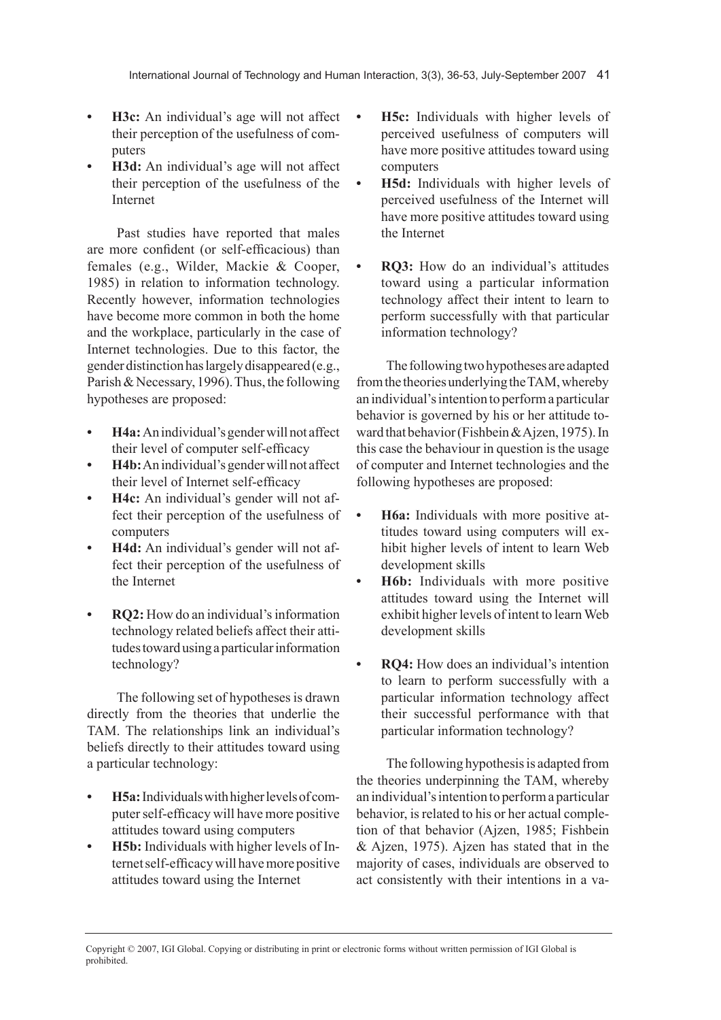- **• H3c:** An individual's age will not affect their perception of the usefulness of computers
- **H3d:** An individual's age will not affect their perception of the usefulness of the Internet

Past studies have reported that males are more confident (or self-efficacious) than females (e.g., Wilder, Mackie & Cooper, 1985) in relation to information technology. Recently however, information technologies have become more common in both the home and the workplace, particularly in the case of Internet technologies. Due to this factor, the gender distinction has largely disappeared (e.g., Parish & Necessary, 1996). Thus, the following hypotheses are proposed:

- **H4a:** An individual's gender will not affect their level of computer self-efficacy
- **• H4b:** An individual's gender will not affect their level of Internet self-efficacy
- **• H4c:** An individual's gender will not affect their perception of the usefulness of computers
- **H4d:** An individual's gender will not affect their perception of the usefulness of the Internet
- **RO2:** How do an individual's information technology related beliefs affect their attitudes toward using a particular information technology?

The following set of hypotheses is drawn directly from the theories that underlie the TAM. The relationships link an individual's beliefs directly to their attitudes toward using a particular technology:

- **• H5a:**Individuals with higher levels of computer self-efficacy will have more positive attitudes toward using computers
- **H5b:** Individuals with higher levels of Internet self-efficacy will have more positive attitudes toward using the Internet
- **H5c:** Individuals with higher levels of perceived usefulness of computers will have more positive attitudes toward using computers
- **• H5d:** Individuals with higher levels of perceived usefulness of the Internet will have more positive attitudes toward using the Internet
	- **RO3:** How do an individual's attitudes toward using a particular information technology affect their intent to learn to perform successfully with that particular information technology?

The following two hypotheses are adapted from the theories underlying the TAM, whereby an individual's intention to perform a particular behavior is governed by his or her attitude toward that behavior (Fishbein & Ajzen, 1975). In this case the behaviour in question is the usage of computer and Internet technologies and the following hypotheses are proposed:

- **• H6a:** Individuals with more positive attitudes toward using computers will exhibit higher levels of intent to learn Web development skills
- **• H6b:** Individuals with more positive attitudes toward using the Internet will exhibit higher levels of intent to learn Web development skills
- **RQ4:** How does an individual's intention to learn to perform successfully with a particular information technology affect their successful performance with that particular information technology?

The following hypothesis is adapted from the theories underpinning the TAM, whereby an individual's intention to perform a particular behavior, is related to his or her actual completion of that behavior (Ajzen, 1985; Fishbein & Ajzen, 1975). Ajzen has stated that in the majority of cases, individuals are observed to act consistently with their intentions in a va-

Copyright © 2007, IGI Global. Copying or distributing in print or electronic forms without written permission of IGI Global is prohibited.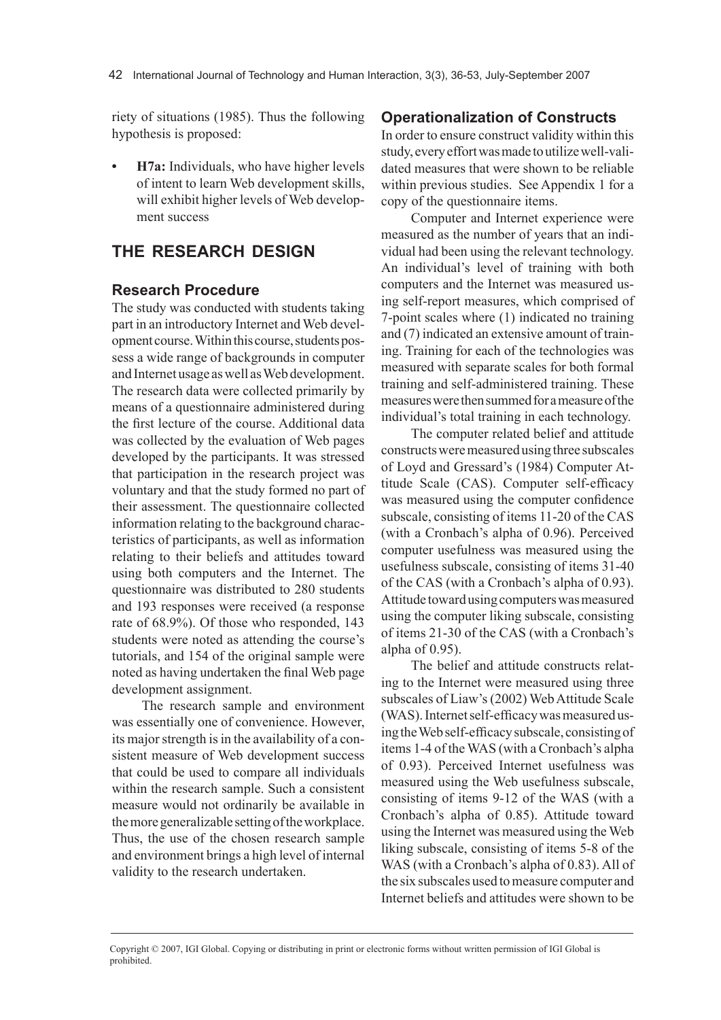riety of situations (1985). Thus the following hypothesis is proposed:

**H7a:** Individuals, who have higher levels of intent to learn Web development skills, will exhibit higher levels of Web development success

# **thE rEsEArch dEsIGn**

## **research Procedure**

The study was conducted with students taking part in an introductory Internet and Web development course. Within this course, students possess a wide range of backgrounds in computer and Internet usage as well as Web development. The research data were collected primarily by means of a questionnaire administered during the first lecture of the course. Additional data was collected by the evaluation of Web pages developed by the participants. It was stressed that participation in the research project was voluntary and that the study formed no part of their assessment. The questionnaire collected information relating to the background characteristics of participants, as well as information relating to their beliefs and attitudes toward using both computers and the Internet. The questionnaire was distributed to 280 students and 193 responses were received (a response rate of 68.9%). Of those who responded, 143 students were noted as attending the course's tutorials, and 154 of the original sample were noted as having undertaken the final Web page development assignment.

The research sample and environment was essentially one of convenience. However, its major strength is in the availability of a consistent measure of Web development success that could be used to compare all individuals within the research sample. Such a consistent measure would not ordinarily be available in the more generalizable setting of the workplace. Thus, the use of the chosen research sample and environment brings a high level of internal validity to the research undertaken.

## **operationalization of constructs**

In order to ensure construct validity within this study, every effort was made to utilize well-validated measures that were shown to be reliable within previous studies. See Appendix 1 for a copy of the questionnaire items.

Computer and Internet experience were measured as the number of years that an individual had been using the relevant technology. An individual's level of training with both computers and the Internet was measured using self-report measures, which comprised of 7-point scales where (1) indicated no training and (7) indicated an extensive amount of training. Training for each of the technologies was measured with separate scales for both formal training and self-administered training. These measures were then summed for a measure of the individual's total training in each technology.

The computer related belief and attitude constructs were measured using three subscales of Loyd and Gressard's (1984) Computer Attitude Scale (CAS). Computer self-efficacy was measured using the computer confidence subscale, consisting of items 11-20 of the CAS (with a Cronbach's alpha of 0.96). Perceived computer usefulness was measured using the usefulness subscale, consisting of items 31-40 of the CAS (with a Cronbach's alpha of 0.93). Attitude toward using computers was measured using the computer liking subscale, consisting of items 21-30 of the CAS (with a Cronbach's alpha of 0.95).

The belief and attitude constructs relating to the Internet were measured using three subscales of Liaw's (2002) Web Attitude Scale (WAS). Internet self-efficacy was measured using the Web self-efficacy subscale, consisting of items 1-4 of the WAS (with a Cronbach's alpha of 0.93). Perceived Internet usefulness was measured using the Web usefulness subscale, consisting of items 9-12 of the WAS (with a Cronbach's alpha of 0.85). Attitude toward using the Internet was measured using the Web liking subscale, consisting of items 5-8 of the WAS (with a Cronbach's alpha of 0.83). All of the six subscales used to measure computer and Internet beliefs and attitudes were shown to be

Copyright © 2007, IGI Global. Copying or distributing in print or electronic forms without written permission of IGI Global is prohibited.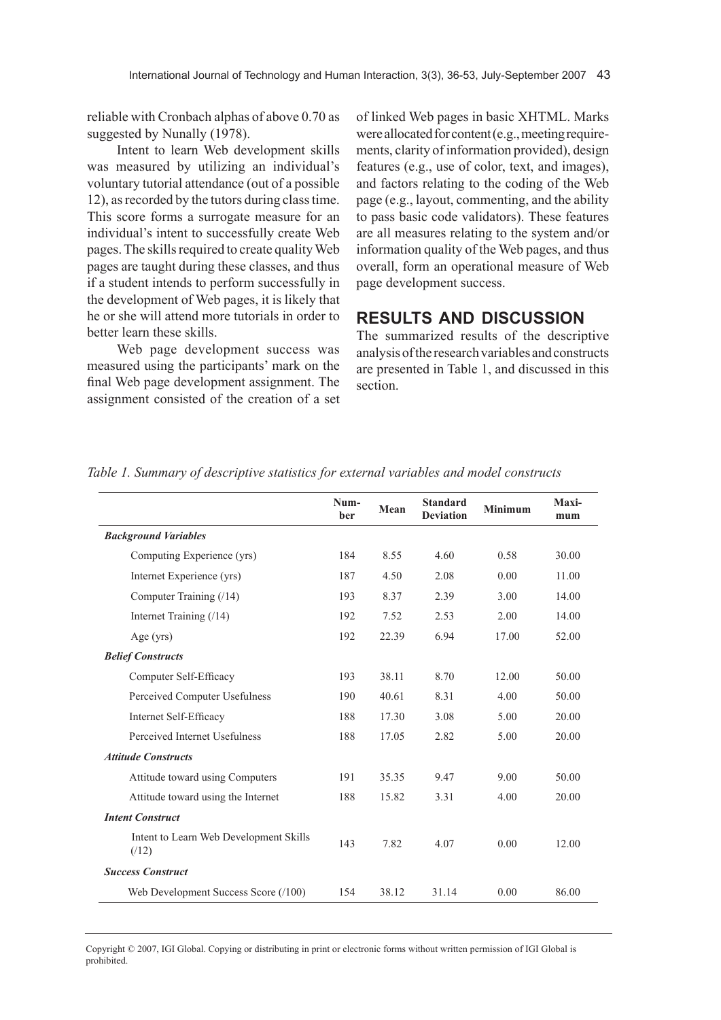reliable with Cronbach alphas of above 0.70 as suggested by Nunally (1978).

Intent to learn Web development skills was measured by utilizing an individual's voluntary tutorial attendance (out of a possible 12), as recorded by the tutors during class time. This score forms a surrogate measure for an individual's intent to successfully create Web pages. The skills required to create quality Web pages are taught during these classes, and thus if a student intends to perform successfully in the development of Web pages, it is likely that he or she will attend more tutorials in order to better learn these skills.

Web page development success was measured using the participants' mark on the final Web page development assignment. The assignment consisted of the creation of a set of linked Web pages in basic XHTML. Marks were allocated for content (e.g., meeting requirements, clarity of information provided), design features (e.g., use of color, text, and images), and factors relating to the coding of the Web page (e.g., layout, commenting, and the ability to pass basic code validators). These features are all measures relating to the system and/or information quality of the Web pages, and thus overall, form an operational measure of Web page development success.

# **rEsults And dIscussIon**

The summarized results of the descriptive analysis of the research variables and constructs are presented in Table 1, and discussed in this section.

|                                                | Num-<br><b>ber</b> | Mean  | <b>Standard</b><br><b>Deviation</b> | <b>Minimum</b> | Maxi-<br>mum |
|------------------------------------------------|--------------------|-------|-------------------------------------|----------------|--------------|
| <b>Background Variables</b>                    |                    |       |                                     |                |              |
| Computing Experience (yrs)                     | 184                | 8.55  | 4.60                                | 0.58           | 30.00        |
| Internet Experience (yrs)                      | 187                | 4.50  | 2.08                                | 0.00           | 11.00        |
| Computer Training (/14)                        | 193                | 8.37  | 2.39                                | 3.00           | 14.00        |
| Internet Training (/14)                        | 192                | 7.52  | 2.53                                | 2.00           | 14.00        |
| Age $(yrs)$                                    | 192                | 22.39 | 6.94                                | 17.00          | 52.00        |
| <b>Belief Constructs</b>                       |                    |       |                                     |                |              |
| Computer Self-Efficacy                         | 193                | 38.11 | 8.70                                | 12.00          | 50.00        |
| Perceived Computer Usefulness                  | 190                | 40.61 | 8.31                                | 4.00           | 50.00        |
| Internet Self-Efficacy                         | 188                | 17.30 | 3.08                                | 5.00           | 20.00        |
| Perceived Internet Usefulness                  | 188                | 17.05 | 2.82                                | 5.00           | 20.00        |
| <b>Attitude Constructs</b>                     |                    |       |                                     |                |              |
| Attitude toward using Computers                | 191                | 35.35 | 9.47                                | 9.00           | 50.00        |
| Attitude toward using the Internet             | 188                | 15.82 | 3.31                                | 4.00           | 20.00        |
| <b>Intent Construct</b>                        |                    |       |                                     |                |              |
| Intent to Learn Web Development Skills<br>(12) | 143                | 7.82  | 4.07                                | 0.00           | 12.00        |
| <b>Success Construct</b>                       |                    |       |                                     |                |              |
| Web Development Success Score (/100)           | 154                | 38.12 | 31.14                               | 0.00           | 86.00        |

*Table 1. Summary of descriptive statistics for external variables and model constructs*

Copyright © 2007, IGI Global. Copying or distributing in print or electronic forms without written permission of IGI Global is prohibited.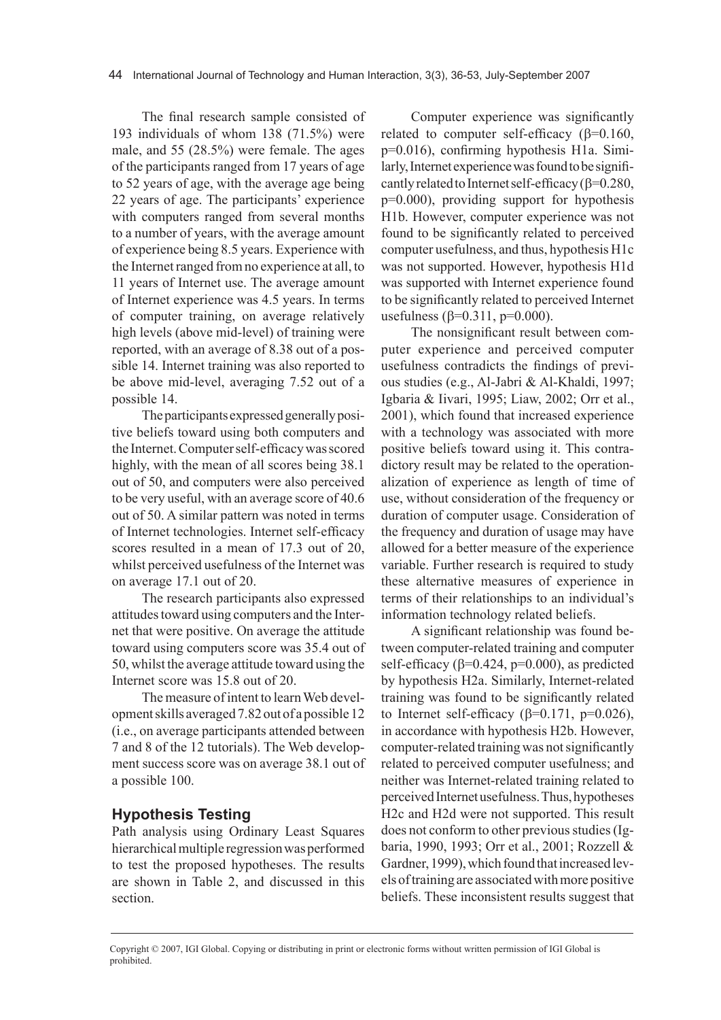The final research sample consisted of 193 individuals of whom 138 (71.5%) were male, and 55 (28.5%) were female. The ages of the participants ranged from 17 years of age to 52 years of age, with the average age being 22 years of age. The participants' experience with computers ranged from several months to a number of years, with the average amount of experience being 8.5 years. Experience with the Internet ranged from no experience at all, to 11 years of Internet use. The average amount of Internet experience was 4.5 years. In terms of computer training, on average relatively high levels (above mid-level) of training were reported, with an average of 8.38 out of a possible 14. Internet training was also reported to be above mid-level, averaging 7.52 out of a possible 14.

The participants expressed generally positive beliefs toward using both computers and the Internet. Computer self-efficacy was scored highly, with the mean of all scores being 38.1 out of 50, and computers were also perceived to be very useful, with an average score of 40.6 out of 50. A similar pattern was noted in terms of Internet technologies. Internet self-efficacy scores resulted in a mean of 17.3 out of 20, whilst perceived usefulness of the Internet was on average 17.1 out of 20.

The research participants also expressed attitudes toward using computers and the Internet that were positive. On average the attitude toward using computers score was 35.4 out of 50, whilst the average attitude toward using the Internet score was 15.8 out of 20.

The measure of intent to learn Web development skills averaged 7.82 out of a possible 12 (i.e., on average participants attended between 7 and 8 of the 12 tutorials). The Web development success score was on average 38.1 out of a possible 100.

#### **hypothesis testing**

Path analysis using Ordinary Least Squares hierarchical multiple regression was performed to test the proposed hypotheses. The results are shown in Table 2, and discussed in this section.

Computer experience was significantly related to computer self-efficacy ( $\beta$ =0.160, p=0.016), confirming hypothesis H1a. Similarly, Internet experience was found to be significantly related to Internet self-efficacy ( $\beta$ =0.280, p=0.000), providing support for hypothesis H1b. However, computer experience was not found to be significantly related to perceived computer usefulness, and thus, hypothesis H1c was not supported. However, hypothesis H1d was supported with Internet experience found to be significantly related to perceived Internet usefulness (β=0.311, p=0.000).

The nonsignificant result between computer experience and perceived computer usefulness contradicts the findings of previous studies (e.g., Al-Jabri & Al-Khaldi, 1997; Igbaria & Iivari, 1995; Liaw, 2002; Orr et al., 2001), which found that increased experience with a technology was associated with more positive beliefs toward using it. This contradictory result may be related to the operationalization of experience as length of time of use, without consideration of the frequency or duration of computer usage. Consideration of the frequency and duration of usage may have allowed for a better measure of the experience variable. Further research is required to study these alternative measures of experience in terms of their relationships to an individual's information technology related beliefs.

A significant relationship was found between computer-related training and computer self-efficacy ( $\beta$ =0.424,  $p$ =0.000), as predicted by hypothesis H2a. Similarly, Internet-related training was found to be significantly related to Internet self-efficacy ( $\beta$ =0.171, p=0.026), in accordance with hypothesis H2b. However, computer-related training was not significantly related to perceived computer usefulness; and neither was Internet-related training related to perceived Internet usefulness. Thus, hypotheses H2c and H2d were not supported. This result does not conform to other previous studies (Igbaria, 1990, 1993; Orr et al., 2001; Rozzell & Gardner, 1999), which found that increased levels of training are associated with more positive beliefs. These inconsistent results suggest that

Copyright © 2007, IGI Global. Copying or distributing in print or electronic forms without written permission of IGI Global is prohibited.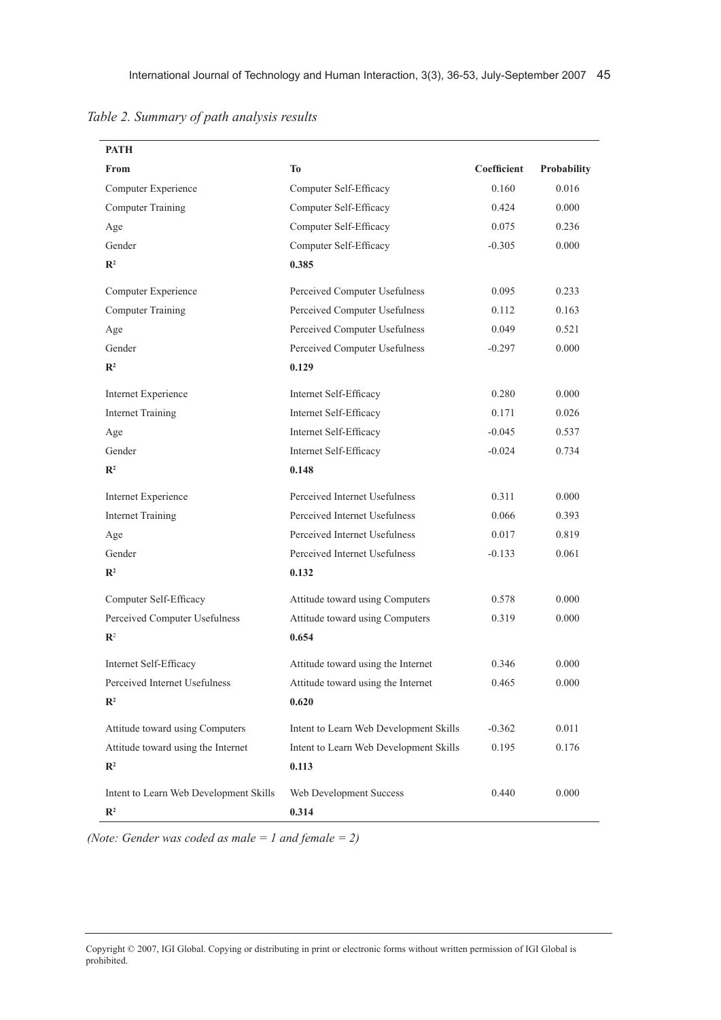| Table 2. Summary of path analysis results |  |  |  |
|-------------------------------------------|--|--|--|
|                                           |  |  |  |

| <b>PATH</b>                            |                                        |             |             |
|----------------------------------------|----------------------------------------|-------------|-------------|
| From                                   | T <sub>0</sub>                         | Coefficient | Probability |
| Computer Experience                    | Computer Self-Efficacy                 | 0.160       | 0.016       |
| <b>Computer Training</b>               | Computer Self-Efficacy                 | 0.424       | 0.000       |
| Age                                    | Computer Self-Efficacy                 | 0.075       | 0.236       |
| Gender                                 | Computer Self-Efficacy                 | $-0.305$    | 0.000       |
| $\mathbb{R}^2$                         | 0.385                                  |             |             |
| Computer Experience                    | Perceived Computer Usefulness          | 0.095       | 0.233       |
| <b>Computer Training</b>               | Perceived Computer Usefulness          | 0.112       | 0.163       |
| Age                                    | Perceived Computer Usefulness          | 0.049       | 0.521       |
| Gender                                 | Perceived Computer Usefulness          | $-0.297$    | 0.000       |
| $\mathbb{R}^2$                         | 0.129                                  |             |             |
| <b>Internet Experience</b>             | Internet Self-Efficacy                 | 0.280       | 0.000       |
| <b>Internet Training</b>               | Internet Self-Efficacy                 | 0.171       | 0.026       |
| Age                                    | Internet Self-Efficacy                 | $-0.045$    | 0.537       |
| Gender                                 | Internet Self-Efficacy                 | $-0.024$    | 0.734       |
| $\mathbb{R}^2$                         | 0.148                                  |             |             |
| Internet Experience                    | Perceived Internet Usefulness          | 0.311       | 0.000       |
| <b>Internet Training</b>               | Perceived Internet Usefulness          | 0.066       | 0.393       |
| Age                                    | Perceived Internet Usefulness          | 0.017       | 0.819       |
| Gender                                 | Perceived Internet Usefulness          | $-0.133$    | 0.061       |
| $\mathbb{R}^2$                         | 0.132                                  |             |             |
| Computer Self-Efficacy                 | Attitude toward using Computers        | 0.578       | 0.000       |
| Perceived Computer Usefulness          | Attitude toward using Computers        | 0.319       | 0.000       |
| $\mathbb{R}^2$                         | 0.654                                  |             |             |
| Internet Self-Efficacy                 | Attitude toward using the Internet     | 0.346       | 0.000       |
| Perceived Internet Usefulness          | Attitude toward using the Internet     | 0.465       | 0.000       |
| $\mathbb{R}^2$                         | 0.620                                  |             |             |
| Attitude toward using Computers        | Intent to Learn Web Development Skills | $-0.362$    | 0.011       |
| Attitude toward using the Internet     | Intent to Learn Web Development Skills | 0.195       | 0.176       |
| $\mathbb{R}^2$                         | 0.113                                  |             |             |
| Intent to Learn Web Development Skills | Web Development Success                | 0.440       | 0.000       |
| $\mathbb{R}^2$                         | 0.314                                  |             |             |

*(Note: Gender was coded as male = 1 and female = 2)*

Copyright © 2007, IGI Global. Copying or distributing in print or electronic forms without written permission of IGI Global is prohibited.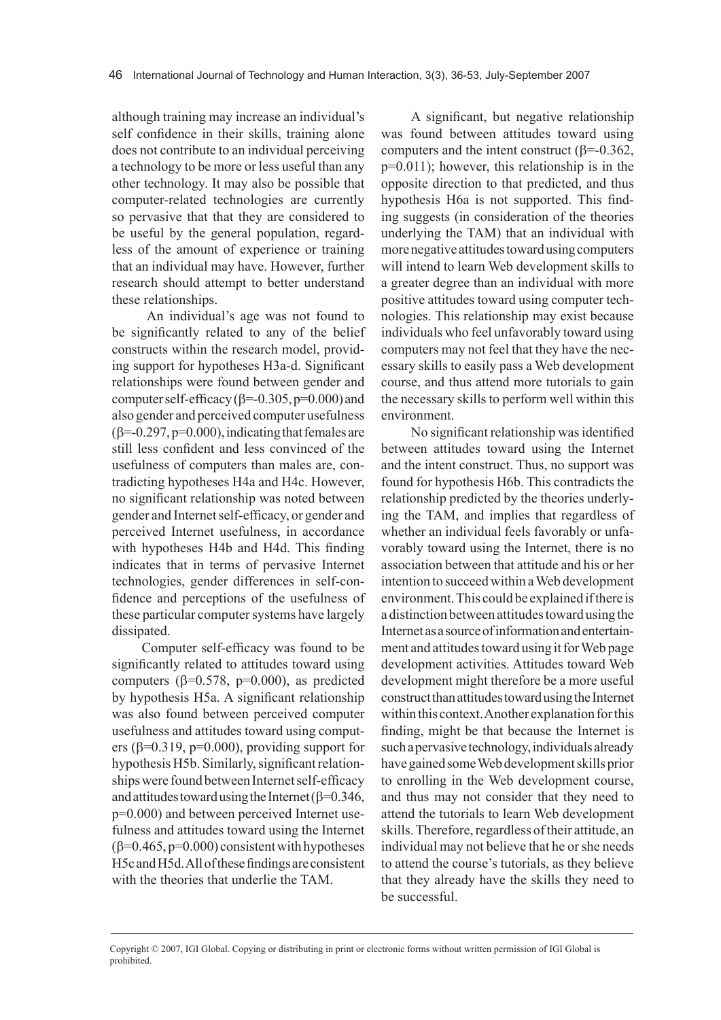although training may increase an individual's self confidence in their skills, training alone does not contribute to an individual perceiving a technology to be more or less useful than any other technology. It may also be possible that computer-related technologies are currently so pervasive that that they are considered to be useful by the general population, regardless of the amount of experience or training that an individual may have. However, further research should attempt to better understand these relationships.

 An individual's age was not found to be significantly related to any of the belief constructs within the research model, providing support for hypotheses H3a-d. Significant relationships were found between gender and computer self-efficacy ( $\beta$ =-0.305, p=0.000) and also gender and perceived computer usefulness  $(\beta=-0.297, p=0.000)$ , indicating that females are still less confident and less convinced of the usefulness of computers than males are, contradicting hypotheses H4a and H4c. However, no significant relationship was noted between gender and Internet self-efficacy, or gender and perceived Internet usefulness, in accordance with hypotheses H4b and H4d. This finding indicates that in terms of pervasive Internet technologies, gender differences in self-confidence and perceptions of the usefulness of these particular computer systems have largely dissipated.

Computer self-efficacy was found to be significantly related to attitudes toward using computers ( $β=0.578$ ,  $p=0.000$ ), as predicted by hypothesis H5a. A significant relationship was also found between perceived computer usefulness and attitudes toward using computers ( $\beta$ =0.319, p=0.000), providing support for hypothesis H5b. Similarly, significant relationships were found between Internet self-efficacy and attitudes toward using the Internet ( $\beta$ =0.346, p=0.000) and between perceived Internet usefulness and attitudes toward using the Internet  $(\beta=0.465, p=0.000)$  consistent with hypotheses H5c and H5d. All of these findings are consistent with the theories that underlie the TAM.

A significant, but negative relationship was found between attitudes toward using computers and the intent construct ( $β=-0.362$ , p=0.011); however, this relationship is in the opposite direction to that predicted, and thus hypothesis H6a is not supported. This finding suggests (in consideration of the theories underlying the TAM) that an individual with more negative attitudes toward using computers will intend to learn Web development skills to a greater degree than an individual with more positive attitudes toward using computer technologies. This relationship may exist because individuals who feel unfavorably toward using computers may not feel that they have the necessary skills to easily pass a Web development course, and thus attend more tutorials to gain the necessary skills to perform well within this environment.

No significant relationship was identified between attitudes toward using the Internet and the intent construct. Thus, no support was found for hypothesis H6b. This contradicts the relationship predicted by the theories underlying the TAM, and implies that regardless of whether an individual feels favorably or unfavorably toward using the Internet, there is no association between that attitude and his or her intention to succeed within a Web development environment. This could be explained if there is a distinction between attitudes toward using the Internet as a source of information and entertainment and attitudes toward using it for Web page development activities. Attitudes toward Web development might therefore be a more useful construct than attitudes toward using the Internet within this context. Another explanation for this finding, might be that because the Internet is such a pervasive technology, individuals already have gained some Web development skills prior to enrolling in the Web development course, and thus may not consider that they need to attend the tutorials to learn Web development skills. Therefore, regardless of their attitude, an individual may not believe that he or she needs to attend the course's tutorials, as they believe that they already have the skills they need to be successful.

Copyright © 2007, IGI Global. Copying or distributing in print or electronic forms without written permission of IGI Global is prohibited.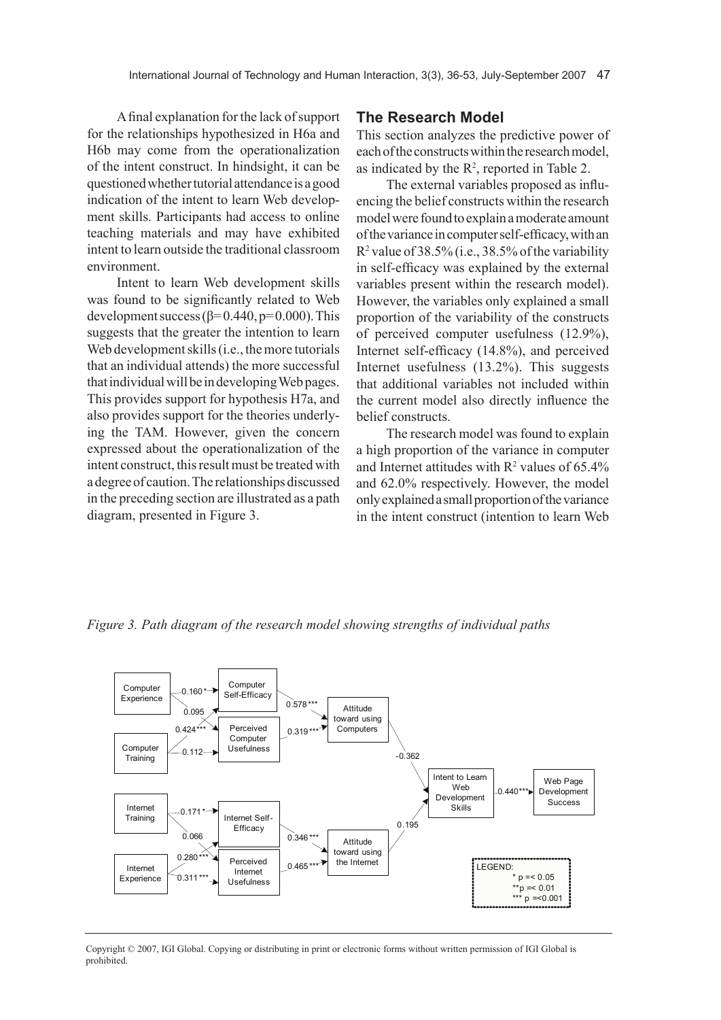A final explanation for the lack of support for the relationships hypothesized in H6a and H6b may come from the operationalization of the intent construct. In hindsight, it can be questioned whether tutorial attendance is a good indication of the intent to learn Web development skills. Participants had access to online teaching materials and may have exhibited intent to learn outside the traditional classroom environment.

Intent to learn Web development skills was found to be significantly related to Web development success  $(\beta = 0.440, p= 0.000)$ . This suggests that the greater the intention to learn Web development skills (i.e., the more tutorials that an individual attends) the more successful that individual will be in developing Web pages. This provides support for hypothesis H7a, and also provides support for the theories underlying the TAM. However, given the concern expressed about the operationalization of the intent construct, this result must be treated with a degree of caution. The relationships discussed in the preceding section are illustrated as a path diagram, presented in Figure 3.

#### **The Research Model**

This section analyzes the predictive power of each of the constructs within the research model, as indicated by the  $R^2$ , reported in Table 2.

The external variables proposed as influencing the belief constructs within the research model were found to explain a moderate amount of the variance in computer self-efficacy, with an R2 value of 38.5% (i.e., 38.5% of the variability in self-efficacy was explained by the external variables present within the research model). However, the variables only explained a small proportion of the variability of the constructs of perceived computer usefulness (12.9%), Internet self-efficacy (14.8%), and perceived Internet usefulness (13.2%). This suggests that additional variables not included within the current model also directly influence the belief constructs.

The research model was found to explain a high proportion of the variance in computer and Internet attitudes with  $R^2$  values of 65.4% and 62.0% respectively. However, the model only explained a small proportion of the variance in the intent construct (intention to learn Web

*Figure 3. Path diagram of the research model showing strengths of individual paths*



Copyright © 2007, IGI Global. Copying or distributing in print or electronic forms without written permission of IGI Global is prohibited.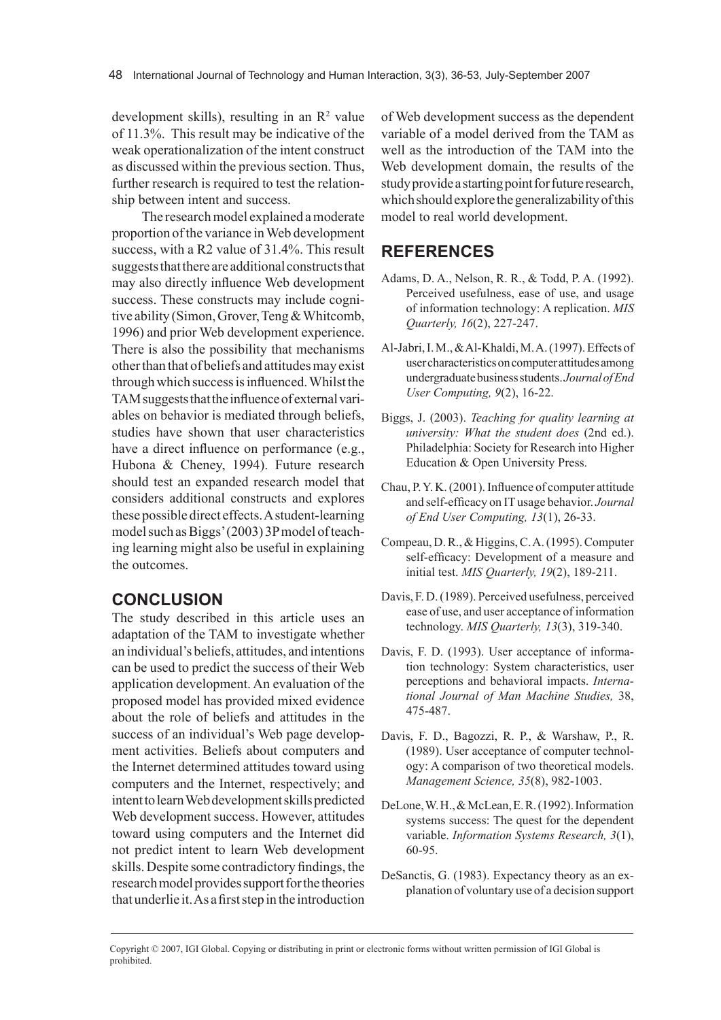development skills), resulting in an  $\mathbb{R}^2$  value of 11.3%. This result may be indicative of the weak operationalization of the intent construct as discussed within the previous section. Thus, further research is required to test the relationship between intent and success.

The research model explained a moderate proportion of the variance in Web development success, with a R2 value of 31.4%. This result suggests that there are additional constructs that may also directly influence Web development success. These constructs may include cognitive ability (Simon, Grover, Teng & Whitcomb, 1996) and prior Web development experience. There is also the possibility that mechanisms other than that of beliefs and attitudes may exist through which success is influenced. Whilst the TAM suggests that the influence of external variables on behavior is mediated through beliefs, studies have shown that user characteristics have a direct influence on performance (e.g., Hubona & Cheney, 1994). Future research should test an expanded research model that considers additional constructs and explores these possible direct effects. A student-learning model such as Biggs' (2003) 3P model of teaching learning might also be useful in explaining the outcomes.

## **conclusIon**

The study described in this article uses an adaptation of the TAM to investigate whether an individual's beliefs, attitudes, and intentions can be used to predict the success of their Web application development. An evaluation of the proposed model has provided mixed evidence about the role of beliefs and attitudes in the success of an individual's Web page development activities. Beliefs about computers and the Internet determined attitudes toward using computers and the Internet, respectively; and intent to learn Web development skills predicted Web development success. However, attitudes toward using computers and the Internet did not predict intent to learn Web development skills. Despite some contradictory findings, the research model provides support for the theories that underlie it. As a first step in the introduction

of Web development success as the dependent variable of a model derived from the TAM as well as the introduction of the TAM into the Web development domain, the results of the study provide a starting point for future research, which should explore the generalizability of this model to real world development.

# **rEFErEncEs**

- Adams, D. A., Nelson, R. R., & Todd, P. A. (1992). Perceived usefulness, ease of use, and usage of information technology: A replication. *MIS Quarterly, 16*(2), 227-247.
- Al-Jabri, I. M., & Al-Khaldi, M. A. (1997). Effects of user characteristics on computer attitudes among undergraduate business students. *Journal of End User Computing, 9*(2), 16-22.
- Biggs, J. (2003). *Teaching for quality learning at university: What the student does* (2nd ed.). Philadelphia: Society for Research into Higher Education & Open University Press.
- Chau, P. Y. K. (2001). Influence of computer attitude and self-efficacy on IT usage behavior. *Journal of End User Computing, 13*(1), 26-33.
- Compeau, D. R., & Higgins, C. A. (1995). Computer self-efficacy: Development of a measure and initial test. *MIS Quarterly, 19*(2), 189-211.
- Davis, F. D. (1989). Perceived usefulness, perceived ease of use, and user acceptance of information technology. *MIS Quarterly, 13*(3), 319-340.
- Davis, F. D. (1993). User acceptance of information technology: System characteristics, user perceptions and behavioral impacts. *International Journal of Man Machine Studies,* 38, 475-487.
- Davis, F. D., Bagozzi, R. P., & Warshaw, P., R. (1989). User acceptance of computer technology: A comparison of two theoretical models. *Management Science, 35*(8), 982-1003.
- DeLone, W. H., & McLean, E. R. (1992). Information systems success: The quest for the dependent variable. *Information Systems Research, 3*(1), 60-95.
- DeSanctis, G. (1983). Expectancy theory as an explanation of voluntary use of a decision support

Copyright © 2007, IGI Global. Copying or distributing in print or electronic forms without written permission of IGI Global is prohibited.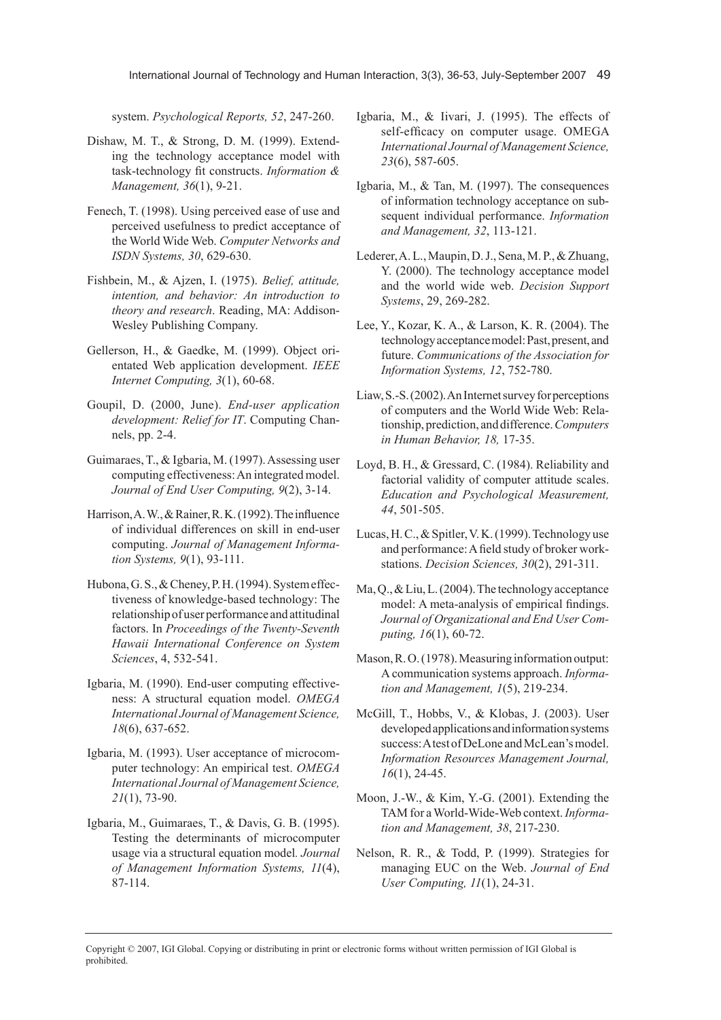system. *Psychological Reports, 52*, 247-260.

- Dishaw, M. T., & Strong, D. M. (1999). Extending the technology acceptance model with task-technology fit constructs. *Information & Management, 36*(1), 9-21.
- Fenech, T. (1998). Using perceived ease of use and perceived usefulness to predict acceptance of the World Wide Web. *Computer Networks and ISDN Systems, 30*, 629-630.
- Fishbein, M., & Ajzen, I. (1975). *Belief, attitude, intention, and behavior: An introduction to theory and research*. Reading, MA: Addison-Wesley Publishing Company.
- Gellerson, H., & Gaedke, M. (1999). Object orientated Web application development. *IEEE Internet Computing, 3*(1), 60-68.
- Goupil, D. (2000, June). *End-user application development: Relief for IT*. Computing Channels, pp. 2-4.
- Guimaraes, T., & Igbaria, M. (1997). Assessing user computing effectiveness: An integrated model. *Journal of End User Computing, 9*(2), 3-14.
- Harrison, A. W., & Rainer, R. K. (1992). The influence of individual differences on skill in end-user computing. *Journal of Management Information Systems, 9*(1), 93-111.
- Hubona, G. S., & Cheney, P. H. (1994). System effectiveness of knowledge-based technology: The relationship of user performance and attitudinal factors. In *Proceedings of the Twenty-Seventh Hawaii International Conference on System Sciences*, 4, 532-541.
- Igbaria, M. (1990). End-user computing effectiveness: A structural equation model. *OMEGA International Journal of Management Science, 18*(6), 637-652.
- Igbaria, M. (1993). User acceptance of microcomputer technology: An empirical test. *OMEGA International Journal of Management Science, 21*(1), 73-90.
- Igbaria, M., Guimaraes, T., & Davis, G. B. (1995). Testing the determinants of microcomputer usage via a structural equation model*. Journal of Management Information Systems, 11*(4), 87-114.
- Igbaria, M., & Iivari, J. (1995). The effects of self-efficacy on computer usage. OMEGA *International Journal of Management Science, 23*(6), 587-605.
- Igbaria, M., & Tan, M. (1997). The consequences of information technology acceptance on subsequent individual performance. *Information and Management, 32*, 113-121.
- Lederer, A. L., Maupin, D. J., Sena, M. P., & Zhuang, Y. (2000). The technology acceptance model and the world wide web. *Decision Support Systems*, 29, 269-282.
- Lee, Y., Kozar, K. A., & Larson, K. R. (2004). The technology acceptance model: Past, present, and future. *Communications of the Association for Information Systems, 12*, 752-780.
- Liaw, S.-S. (2002). An Internet survey for perceptions of computers and the World Wide Web: Relationship, prediction, and difference. *Computers in Human Behavior, 18,* 17-35.
- Loyd, B. H., & Gressard, C. (1984). Reliability and factorial validity of computer attitude scales. *Education and Psychological Measurement, 44*, 501-505.
- Lucas, H. C., & Spitler, V. K. (1999). Technology use and performance: A field study of broker workstations. *Decision Sciences, 30*(2), 291-311.
- Ma, Q., & Liu, L. (2004). The technology acceptance model: A meta-analysis of empirical findings. *Journal of Organizational and End User Computing, 16*(1), 60-72.
- Mason, R. O. (1978). Measuring information output: A communication systems approach. *Information and Management, 1*(5), 219-234.
- McGill, T., Hobbs, V., & Klobas, J. (2003). User developed applications and information systems success: A test of DeLone and McLean's model. *Information Resources Management Journal, 16*(1), 24-45.
- Moon, J.-W., & Kim, Y.-G. (2001). Extending the TAM for a World-Wide-Web context. *Information and Management, 38*, 217-230.
- Nelson, R. R., & Todd, P. (1999). Strategies for managing EUC on the Web. *Journal of End User Computing, 11*(1), 24-31.

Copyright © 2007, IGI Global. Copying or distributing in print or electronic forms without written permission of IGI Global is prohibited.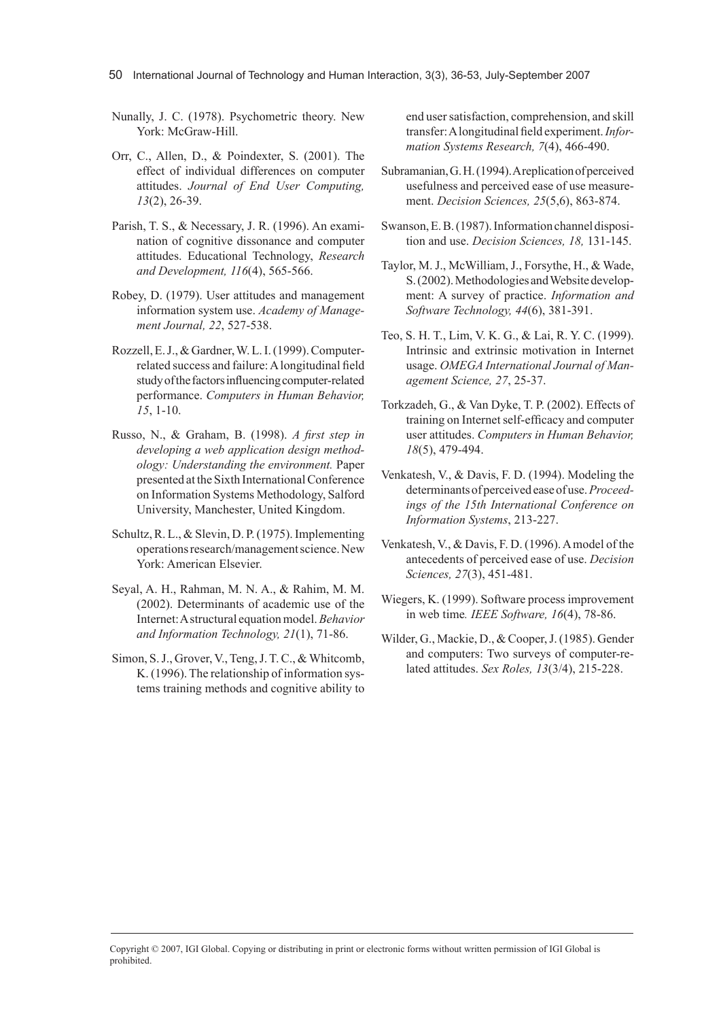50 International Journal of Technology and Human Interaction, 3(3), 36-53, July-September 2007

- Nunally, J. C. (1978). Psychometric theory. New York: McGraw-Hill.
- Orr, C., Allen, D., & Poindexter, S. (2001). The effect of individual differences on computer attitudes. *Journal of End User Computing, 13*(2), 26-39.
- Parish, T. S., & Necessary, J. R. (1996). An examination of cognitive dissonance and computer attitudes. Educational Technology, *Research and Development, 116*(4), 565-566.
- Robey, D. (1979). User attitudes and management information system use. *Academy of Management Journal, 22*, 527-538.
- Rozzell, E. J., & Gardner, W. L. I. (1999). Computerrelated success and failure: A longitudinal field study of the factors influencing computer-related performance. *Computers in Human Behavior, 15*, 1-10.
- Russo, N., & Graham, B. (1998). *A first step in developing a web application design methodology: Understanding the environment.* Paper presented at the Sixth International Conference on Information Systems Methodology, Salford University, Manchester, United Kingdom.
- Schultz, R. L., & Slevin, D. P. (1975). Implementing operations research/management science. New York: American Elsevier.
- Seyal, A. H., Rahman, M. N. A., & Rahim, M. M. (2002). Determinants of academic use of the Internet: A structural equation model. *Behavior and Information Technology, 21*(1), 71-86.
- Simon, S. J., Grover, V., Teng, J. T. C., & Whitcomb, K. (1996). The relationship of information systems training methods and cognitive ability to

end user satisfaction, comprehension, and skill transfer: A longitudinal field experiment. *Information Systems Research, 7*(4), 466-490.

- Subramanian, G. H. (1994). A replication of perceived usefulness and perceived ease of use measurement. *Decision Sciences, 25*(5,6), 863-874.
- Swanson, E. B. (1987). Information channel disposition and use. *Decision Sciences, 18,* 131-145.
- Taylor, M. J., McWilliam, J., Forsythe, H., & Wade, S. (2002). Methodologies and Website development: A survey of practice. *Information and Software Technology, 44*(6), 381-391.
- Teo, S. H. T., Lim, V. K. G., & Lai, R. Y. C. (1999). Intrinsic and extrinsic motivation in Internet usage. *OMEGA International Journal of Management Science, 27*, 25-37.
- Torkzadeh, G., & Van Dyke, T. P. (2002). Effects of training on Internet self-efficacy and computer user attitudes. *Computers in Human Behavior, 18*(5), 479-494.
- Venkatesh, V., & Davis, F. D. (1994). Modeling the determinants of perceived ease of use. *Proceedings of the 15th International Conference on Information Systems*, 213-227.
- Venkatesh, V., & Davis, F. D. (1996). A model of the antecedents of perceived ease of use. *Decision Sciences, 27*(3), 451-481.
- Wiegers, K. (1999). Software process improvement in web time*. IEEE Software, 16*(4), 78-86.
- Wilder, G., Mackie, D., & Cooper, J. (1985). Gender and computers: Two surveys of computer-related attitudes. *Sex Roles, 13*(3/4), 215-228.

Copyright © 2007, IGI Global. Copying or distributing in print or electronic forms without written permission of IGI Global is prohibited.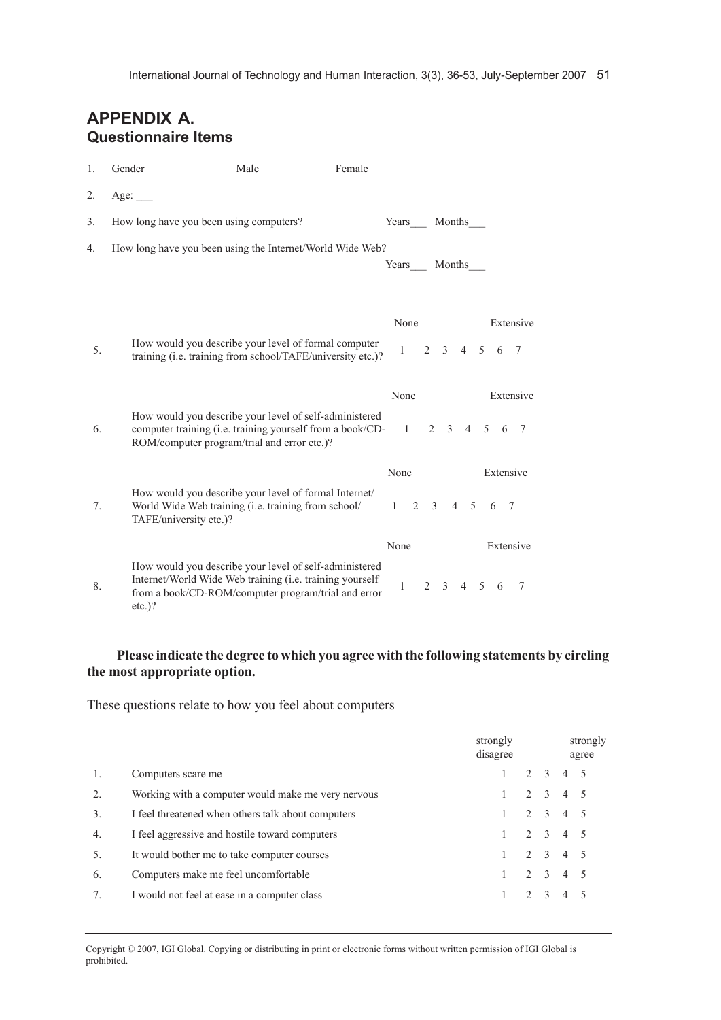# **APPEndIx A. Questionnaire Items**

| 1. | Gender                                                    | Male                                                                                                                                                                              | Female |                      |                |                             |                |   |                  |                             |
|----|-----------------------------------------------------------|-----------------------------------------------------------------------------------------------------------------------------------------------------------------------------------|--------|----------------------|----------------|-----------------------------|----------------|---|------------------|-----------------------------|
| 2. | Age:                                                      |                                                                                                                                                                                   |        |                      |                |                             |                |   |                  |                             |
| 3. | How long have you been using computers?                   |                                                                                                                                                                                   |        | Years                |                | Months                      |                |   |                  |                             |
| 4. | How long have you been using the Internet/World Wide Web? |                                                                                                                                                                                   |        | Years                |                | Months                      |                |   |                  |                             |
| 5. |                                                           | How would you describe your level of formal computer<br>training (i.e. training from school/TAFE/university etc.)?                                                                |        | None<br>$\mathbf{1}$ |                | $2 \quad 3 \quad 4 \quad 5$ |                |   | 6                | Extensive<br>$\overline{7}$ |
| 6. |                                                           | How would you describe your level of self-administered<br>computer training (i.e. training yourself from a book/CD-<br>ROM/computer program/trial and error etc.)?                |        | None<br>1            |                | $2 \quad 3$                 |                |   | 4 5 6 7          | Extensive                   |
| 7. | TAFE/university etc.)?                                    | How would you describe your level of formal Internet/<br>World Wide Web training (i.e. training from school/                                                                      |        | None<br>$1 \t2 \t3$  |                |                             | $4 \quad 5$    |   | Extensive<br>6 7 |                             |
| 8. | $etc.$ )?                                                 | How would you describe your level of self-administered<br>Internet/World Wide Web training ( <i>i.e.</i> training yourself<br>from a book/CD-ROM/computer program/trial and error |        | None<br>1            | $\overline{2}$ | 3                           | $\overline{4}$ | 5 | 6                | Extensive<br>$\tau$         |

## **Please indicate the degree to which you agree with the following statements by circling the most appropriate option.**

These questions relate to how you feel about computers

|                  |                                                    | strongly<br>disagree |             |                 | strongly<br>agree |
|------------------|----------------------------------------------------|----------------------|-------------|-----------------|-------------------|
|                  | Computers scare me                                 |                      | $2 \quad 3$ | $4 \quad 5$     |                   |
| 2                | Working with a computer would make me very nervous |                      |             | $2 \t3 \t4 \t5$ |                   |
| $\overline{3}$ . | I feel threatened when others talk about computers |                      |             | 2 3 4 5         |                   |
| 4.               | I feel aggressive and hostile toward computers     |                      |             | 2 3 4 5         |                   |
| 5.               | It would bother me to take computer courses        |                      |             | $2 \t3 \t4 \t5$ |                   |
| 6.               | Computers make me feel uncomfortable               |                      | $2^{3}$     | 4 5             |                   |
| 7 <sub>1</sub>   | I would not feel at ease in a computer class       |                      | $2^{3}$     | $\overline{4}$  |                   |
|                  |                                                    |                      |             |                 |                   |

Copyright © 2007, IGI Global. Copying or distributing in print or electronic forms without written permission of IGI Global is prohibited.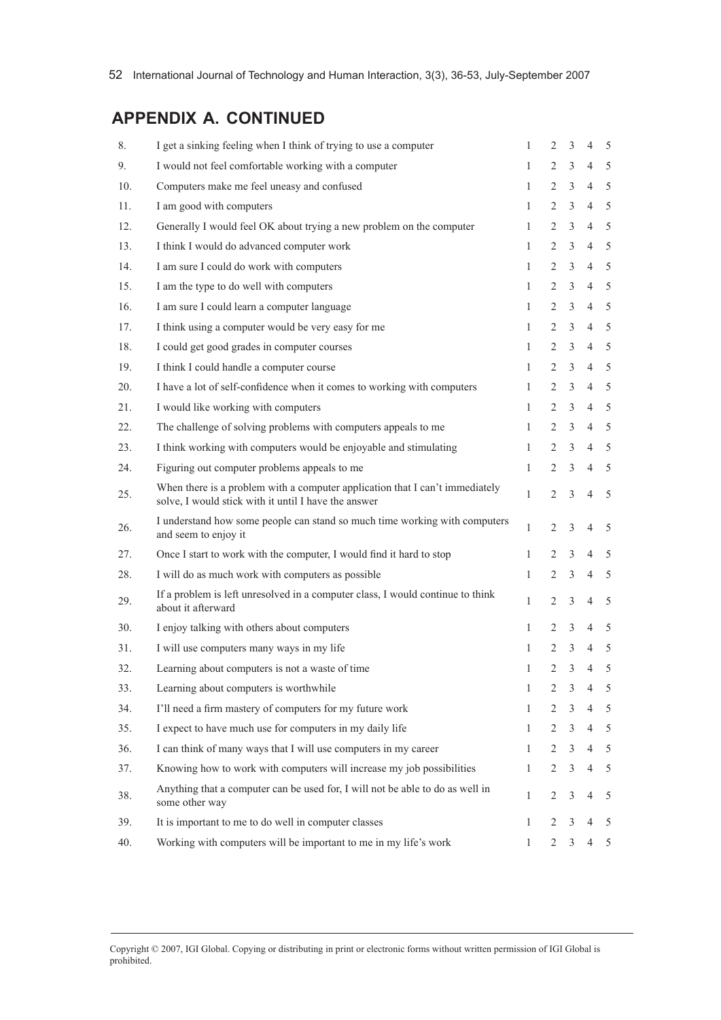# **APPEndIx A. contInuEd**

| 8.  | I get a sinking feeling when I think of trying to use a computer                                                                     | $\mathbf{1}$ | 2              | 3 | 4              | 5 |
|-----|--------------------------------------------------------------------------------------------------------------------------------------|--------------|----------------|---|----------------|---|
| 9.  | I would not feel comfortable working with a computer                                                                                 | $\mathbf{1}$ | $\overline{2}$ | 3 | $\overline{4}$ | 5 |
| 10. | Computers make me feel uneasy and confused                                                                                           | $\mathbf{1}$ | $\overline{2}$ | 3 | $\overline{4}$ | 5 |
| 11. | I am good with computers                                                                                                             | $\mathbf{1}$ | $\overline{2}$ | 3 | $\overline{4}$ | 5 |
| 12. | Generally I would feel OK about trying a new problem on the computer                                                                 | 1            | 2              | 3 | $\overline{4}$ | 5 |
| 13. | I think I would do advanced computer work                                                                                            | $\mathbf{1}$ | 2              | 3 | $\overline{4}$ | 5 |
| 14. | I am sure I could do work with computers                                                                                             | 1            | 2              | 3 | $\overline{4}$ | 5 |
| 15. | I am the type to do well with computers                                                                                              | $\mathbf{1}$ | 2              | 3 | $\overline{4}$ | 5 |
| 16. | I am sure I could learn a computer language                                                                                          | 1            | $\overline{2}$ | 3 | $\overline{4}$ | 5 |
| 17. | I think using a computer would be very easy for me                                                                                   | $\mathbf{1}$ | $\overline{2}$ | 3 | $\overline{4}$ | 5 |
| 18. | I could get good grades in computer courses                                                                                          | $\mathbf{1}$ | 2              | 3 | $\overline{4}$ | 5 |
| 19. | I think I could handle a computer course                                                                                             | 1            | $\overline{2}$ | 3 | $\overline{4}$ | 5 |
| 20. | I have a lot of self-confidence when it comes to working with computers                                                              | $\mathbf{1}$ | $\overline{2}$ | 3 | $\overline{4}$ | 5 |
| 21. | I would like working with computers                                                                                                  | $\mathbf{1}$ | 2              | 3 | $\overline{4}$ | 5 |
| 22. | The challenge of solving problems with computers appeals to me                                                                       | 1            | 2              | 3 | $\overline{4}$ | 5 |
| 23. | I think working with computers would be enjoyable and stimulating                                                                    | 1            | $\overline{2}$ | 3 | $\overline{4}$ | 5 |
| 24. | Figuring out computer problems appeals to me                                                                                         | $\mathbf{1}$ | 2              | 3 | $\overline{4}$ | 5 |
| 25. | When there is a problem with a computer application that I can't immediately<br>solve, I would stick with it until I have the answer | $\mathbf{1}$ | $\overline{2}$ | 3 | $\overline{4}$ | 5 |
| 26. | I understand how some people can stand so much time working with computers<br>and seem to enjoy it                                   | $\mathbf{1}$ | $\overline{2}$ | 3 | $\overline{4}$ | 5 |
| 27. | Once I start to work with the computer, I would find it hard to stop                                                                 | $\mathbf{1}$ | $\overline{2}$ | 3 | $\overline{4}$ | 5 |
| 28. | I will do as much work with computers as possible                                                                                    | $\mathbf{1}$ | 2              | 3 | $\overline{4}$ | 5 |
| 29. | If a problem is left unresolved in a computer class, I would continue to think<br>about it afterward                                 | $\mathbf{1}$ | 2              | 3 | $\overline{4}$ | 5 |
| 30. | I enjoy talking with others about computers                                                                                          | $\mathbf{1}$ | 2              | 3 | $\overline{4}$ | 5 |
| 31. | I will use computers many ways in my life                                                                                            | $\mathbf{1}$ | 2              | 3 | $\overline{4}$ | 5 |
| 32. | Learning about computers is not a waste of time                                                                                      | $\mathbf{1}$ | $\overline{c}$ | 3 | $\overline{4}$ | 5 |
| 33. | Learning about computers is worthwhile                                                                                               | $\mathbf{1}$ | $\overline{c}$ | 3 | $\overline{4}$ | 5 |
| 34. | I'll need a firm mastery of computers for my future work                                                                             | $\mathbf{1}$ | 2              | 3 | 4              | 5 |
| 35. | I expect to have much use for computers in my daily life                                                                             | $\mathbf{1}$ | 2              | 3 | $\overline{4}$ | 5 |
| 36. | I can think of many ways that I will use computers in my career                                                                      | $\mathbf{1}$ | $\overline{2}$ | 3 | $\overline{4}$ | 5 |
| 37. | Knowing how to work with computers will increase my job possibilities                                                                | 1            | 2              | 3 | $\overline{4}$ | 5 |
| 38. | Anything that a computer can be used for, I will not be able to do as well in<br>some other way                                      | 1            | $\overline{c}$ | 3 | $\overline{4}$ | 5 |
| 39. | It is important to me to do well in computer classes                                                                                 | $\mathbf{1}$ | 2              | 3 | $\overline{4}$ | 5 |
| 40. | Working with computers will be important to me in my life's work                                                                     | 1            | $\overline{2}$ | 3 | $\overline{4}$ | 5 |